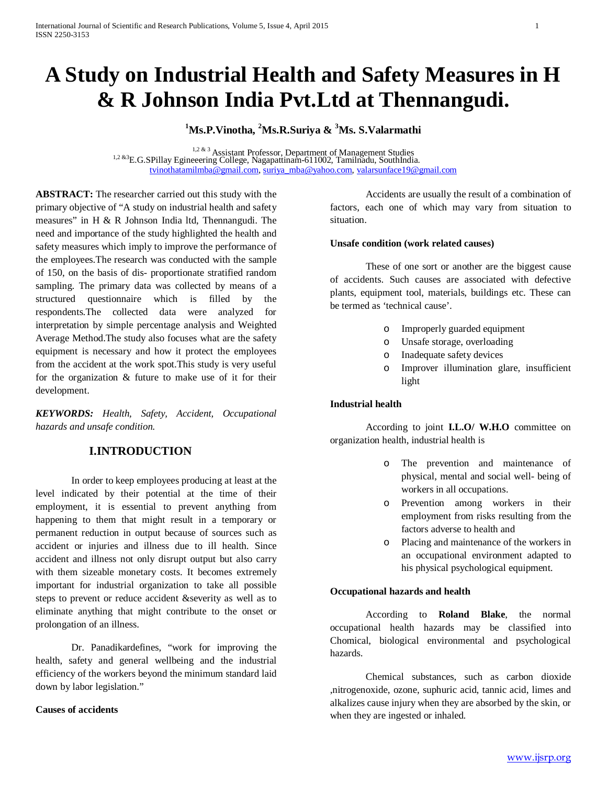# **A Study on Industrial Health and Safety Measures in H & R Johnson India Pvt.Ltd at Thennangudi.**

# **1 Ms.P.Vinotha, <sup>2</sup> Ms.R.Suriya & <sup>3</sup> Ms. S.Valarmathi**

<sup>1,2 & 3</sup> Assistant Professor, Department of Management Studies <sup>1,2 & 3</sup> E.G.SPillay Egineeering College, Nagapattinam-611002, Tamilnadu, SouthIndia. [tvinothatamilmba@gmail.com,](mailto:tvinothatamilmba@gmail.com) [suriya\\_mba@yahoo.com,](mailto:suriya_mba@yahoo.com) [valarsunface19@gmail.com](mailto:valarsunface19@gmail.com)

**ABSTRACT:** The researcher carried out this study with the primary objective of "A study on industrial health and safety measures" in H & R Johnson India ltd, Thennangudi. The need and importance of the study highlighted the health and safety measures which imply to improve the performance of the employees.The research was conducted with the sample of 150, on the basis of dis- proportionate stratified random sampling. The primary data was collected by means of a structured questionnaire which is filled by the respondents.The collected data were analyzed for interpretation by simple percentage analysis and Weighted Average Method.The study also focuses what are the safety equipment is necessary and how it protect the employees from the accident at the work spot.This study is very useful for the organization & future to make use of it for their development.

*KEYWORDS: Health, Safety, Accident, Occupational hazards and unsafe condition.*

# **I.INTRODUCTION**

In order to keep employees producing at least at the level indicated by their potential at the time of their employment, it is essential to prevent anything from happening to them that might result in a temporary or permanent reduction in output because of sources such as accident or injuries and illness due to ill health. Since accident and illness not only disrupt output but also carry with them sizeable monetary costs. It becomes extremely important for industrial organization to take all possible steps to prevent or reduce accident &severity as well as to eliminate anything that might contribute to the onset or prolongation of an illness.

Dr. Panadikardefines, "work for improving the health, safety and general wellbeing and the industrial efficiency of the workers beyond the minimum standard laid down by labor legislation."

## **Causes of accidents**

Accidents are usually the result of a combination of factors, each one of which may vary from situation to situation.

#### **Unsafe condition (work related causes)**

These of one sort or another are the biggest cause of accidents. Such causes are associated with defective plants, equipment tool, materials, buildings etc. These can be termed as 'technical cause'.

- o Improperly guarded equipment
- o Unsafe storage, overloading
- o Inadequate safety devices
- o Improver illumination glare, insufficient light

## **Industrial health**

According to joint **I.L.O/ W.H.O** committee on organization health, industrial health is

- o The prevention and maintenance of physical, mental and social well- being of workers in all occupations.
- o Prevention among workers in their employment from risks resulting from the factors adverse to health and
- o Placing and maintenance of the workers in an occupational environment adapted to his physical psychological equipment.

## **Occupational hazards and health**

According to **Roland Blake**, the normal occupational health hazards may be classified into Chomical, biological environmental and psychological hazards.

Chemical substances, such as carbon dioxide ,nitrogenoxide, ozone, suphuric acid, tannic acid, limes and alkalizes cause injury when they are absorbed by the skin, or when they are ingested or inhaled.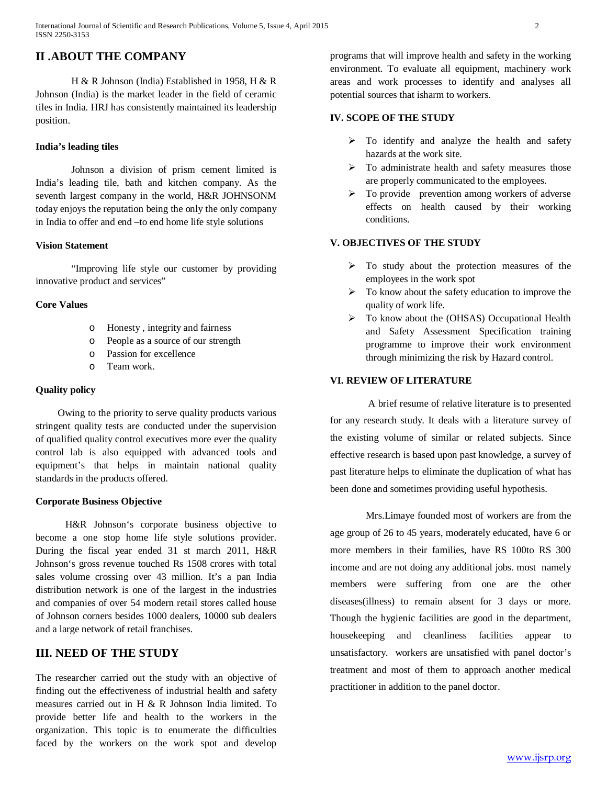# **II .ABOUT THE COMPANY**

H & R Johnson (India) Established in 1958, H & R Johnson (India) is the market leader in the field of ceramic tiles in India. HRJ has consistently maintained its leadership position.

# **India's leading tiles**

Johnson a division of prism cement limited is India's leading tile, bath and kitchen company. As the seventh largest company in the world, H&R JOHNSONM today enjoys the reputation being the only the only company in India to offer and end –to end home life style solutions

## **Vision Statement**

"Improving life style our customer by providing innovative product and services"

# **Core Values**

- o Honesty , integrity and fairness
- o People as a source of our strength
- o Passion for excellence
- o Team work.

## **Quality policy**

 Owing to the priority to serve quality products various stringent quality tests are conducted under the supervision of qualified quality control executives more ever the quality control lab is also equipped with advanced tools and equipment's that helps in maintain national quality standards in the products offered.

## **Corporate Business Objective**

H&R Johnson's corporate business objective to become a one stop home life style solutions provider. During the fiscal year ended 31 st march 2011, H&R Johnson's gross revenue touched Rs 1508 crores with total sales volume crossing over 43 million. It's a pan India distribution network is one of the largest in the industries and companies of over 54 modern retail stores called house of Johnson corners besides 1000 dealers, 10000 sub dealers and a large network of retail franchises.

# **III. NEED OF THE STUDY**

The researcher carried out the study with an objective of finding out the effectiveness of industrial health and safety measures carried out in H & R Johnson India limited. To provide better life and health to the workers in the organization. This topic is to enumerate the difficulties faced by the workers on the work spot and develop

programs that will improve health and safety in the working environment. To evaluate all equipment, machinery work areas and work processes to identify and analyses all potential sources that isharm to workers.

# **IV. SCOPE OF THE STUDY**

- $\triangleright$  To identify and analyze the health and safety hazards at the work site.
- $\triangleright$  To administrate health and safety measures those are properly communicated to the employees.
- $\triangleright$  To provide prevention among workers of adverse effects on health caused by their working conditions.

# **V. OBJECTIVES OF THE STUDY**

- $\triangleright$  To study about the protection measures of the employees in the work spot
- $\triangleright$  To know about the safety education to improve the quality of work life.
- $\triangleright$  To know about the (OHSAS) Occupational Health and Safety Assessment Specification training programme to improve their work environment through minimizing the risk by Hazard control.

## **VI. REVIEW OF LITERATURE**

A brief resume of relative literature is to presented for any research study. It deals with a literature survey of the existing volume of similar or related subjects. Since effective research is based upon past knowledge, a survey of past literature helps to eliminate the duplication of what has been done and sometimes providing useful hypothesis.

Mrs.Limaye founded most of workers are from the age group of 26 to 45 years, moderately educated, have 6 or more members in their families, have RS 100to RS 300 income and are not doing any additional jobs. most namely members were suffering from one are the other diseases(illness) to remain absent for 3 days or more. Though the hygienic facilities are good in the department, housekeeping and cleanliness facilities appear to unsatisfactory. workers are unsatisfied with panel doctor's treatment and most of them to approach another medical practitioner in addition to the panel doctor.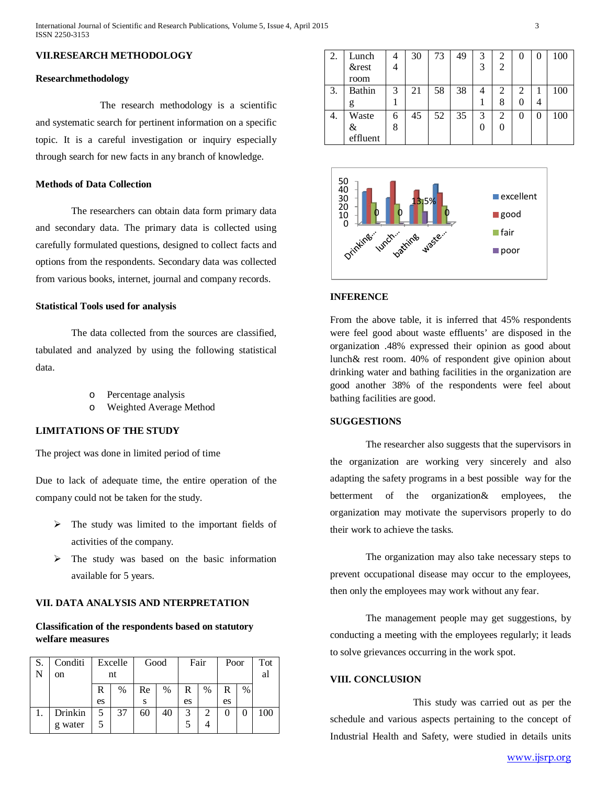# **VII.RESEARCH METHODOLOGY**

#### **Researchmethodology**

The research methodology is a scientific and systematic search for pertinent information on a specific topic. It is a careful investigation or inquiry especially through search for new facts in any branch of knowledge.

#### **Methods of Data Collection**

The researchers can obtain data form primary data and secondary data. The primary data is collected using carefully formulated questions, designed to collect facts and options from the respondents. Secondary data was collected from various books, internet, journal and company records.

#### **Statistical Tools used for analysis**

The data collected from the sources are classified, tabulated and analyzed by using the following statistical data.

- Percentage analysis
- o Weighted Average Method

# **LIMITATIONS OF THE STUDY**

The project was done in limited period of time

Due to lack of adequate time, the entire operation of the company could not be taken for the study.

- $\triangleright$  The study was limited to the important fields of activities of the company.
- $\triangleright$  The study was based on the basic information available for 5 years.

## **VII. DATA ANALYSIS AND NTERPRETATION**

# **Classification of the respondents based on statutory welfare measures**

| S. | Conditi       | Excelle |      | Good |      | Fair |      | Poor |      | Tot |
|----|---------------|---------|------|------|------|------|------|------|------|-----|
| N  | <sub>on</sub> | nt      |      |      |      |      |      |      |      | al  |
|    |               | R       | $\%$ | Re   | $\%$ | R    | $\%$ | R    | $\%$ |     |
|    |               | es      |      | S    |      | es   |      | es   |      |     |
|    | Drinkin       |         | 37   | 60   | 40   | 3    |      |      |      | 100 |
|    | g water       |         |      |      |      |      |      |      |      |     |

| 2. | Lunch         |   | 30 | 73 | 49 | 3 | 2              |   | $\mathbf{0}$ | 100 |
|----|---------------|---|----|----|----|---|----------------|---|--------------|-----|
|    | &rest         |   |    |    |    | 3 | $\overline{2}$ |   |              |     |
|    | room          |   |    |    |    |   |                |   |              |     |
| 3. | <b>Bathin</b> | 3 | 21 | 58 | 38 |   | 2              | 2 |              | 100 |
|    |               |   |    |    |    |   | 8              |   | 4            |     |
| 4. | Waste         | 6 | 45 | 52 | 35 | 3 | 2              |   | 0            | 100 |
|    | &             | 8 |    |    |    |   |                |   |              |     |
|    | effluent      |   |    |    |    |   |                |   |              |     |



# **INFERENCE**

From the above table, it is inferred that 45% respondents were feel good about waste effluents' are disposed in the organization .48% expressed their opinion as good about lunch& rest room. 40% of respondent give opinion about drinking water and bathing facilities in the organization are good another 38% of the respondents were feel about bathing facilities are good.

## **SUGGESTIONS**

The researcher also suggests that the supervisors in the organization are working very sincerely and also adapting the safety programs in a best possible way for the betterment of the organization& employees, the organization may motivate the supervisors properly to do their work to achieve the tasks.

The organization may also take necessary steps to prevent occupational disease may occur to the employees, then only the employees may work without any fear.

The management people may get suggestions, by conducting a meeting with the employees regularly; it leads to solve grievances occurring in the work spot.

## **VIII. CONCLUSION**

This study was carried out as per the schedule and various aspects pertaining to the concept of Industrial Health and Safety, were studied in details units